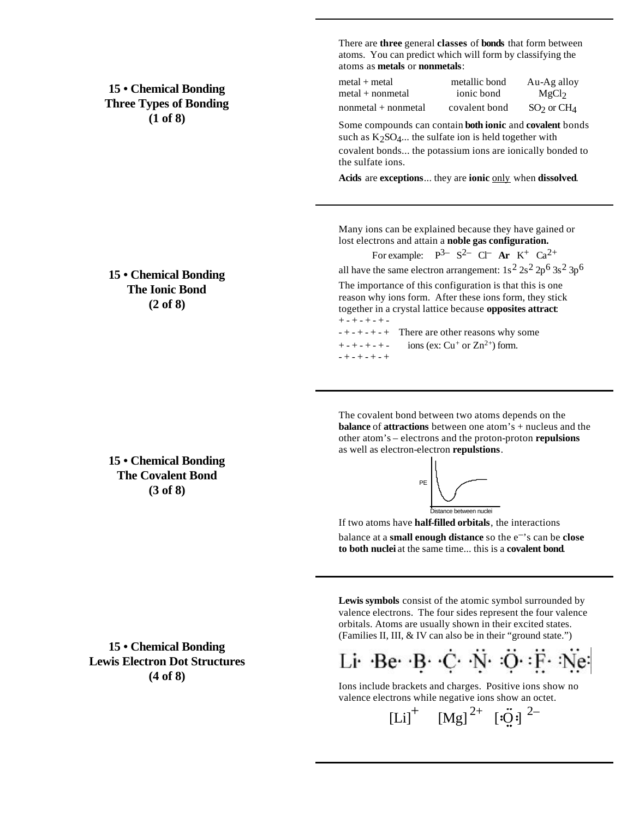**15 • Chemical Bonding Three Types of Bonding (1 of 8)**

**15 • Chemical Bonding The Ionic Bond (2 of 8)**

**15 • Chemical Bonding The Covalent Bond (3 of 8)**

**15 • Chemical Bonding Lewis Electron Dot Structures (4 of 8)**

There are **three** general **classes** of **bonds** that form between atoms. You can predict which will form by classifying the atoms as **metals** or **nonmetals**:

| metal + metal       | metallic bond | Au-Ag alloy       |
|---------------------|---------------|-------------------|
| metal + nonmetal    | ionic bond    | MgCl <sub>2</sub> |
| nonmetal + nonmetal | covalent bond | $SO2$ or $CH4$    |

Some compounds can contain **both ionic** and **covalent** bonds such as  $K_2SO_4...$  the sulfate ion is held together with covalent bonds... the potassium ions are ionically bonded to the sulfate ions.

**Acids** are **exceptions**... they are **ionic** only when **dissolved**.

Many ions can be explained because they have gained or lost electrons and attain a **noble gas configuration.**

For example:  $P^{3-}S^{2-}C\Gamma$  **Ar**  $K^+Ca^{2+}$ 

all have the same electron arrangement:  $1s^2 2s^2 2p^6 3s^2 3p^6$ 

The importance of this configuration is that this is one reason why ions form. After these ions form, they stick together in a crystal lattice because **opposites attract**:  $+ - + - + - + -$ 

 $- + - + - + -$  There are other reasons why some  $+ - + - + - + - \quad \text{ions (ex: Cu<sup>+</sup> or Zn<sup>2+</sup>) form.}$ - + - + - + - +

The covalent bond between two atoms depends on the **balance** of **attractions** between one atom's + nucleus and the other atom's – electrons and the proton-proton **repulsions** as well as electron-electron **repulstions**.



If two atoms have **half-filled orbitals**, the interactions balance at a **small enough distance** so the e–'s can be **close to both nuclei** at the same time... this is a **covalent bond**.

**Lewis symbols** consist of the atomic symbol surrounded by valence electrons. The four sides represent the four valence orbitals. Atoms are usually shown in their excited states. (Families II, III, & IV can also be in their "ground state.")

Li Be B C N O F Ne

Ions include brackets and charges. Positive ions show no valence electrons while negative ions show an octet.

 $[Li]$ <sup>+</sup>  $[Mg]$ <sup>2+</sup>  $[i\ddot{Q}i]$ <sup>2-</sup>